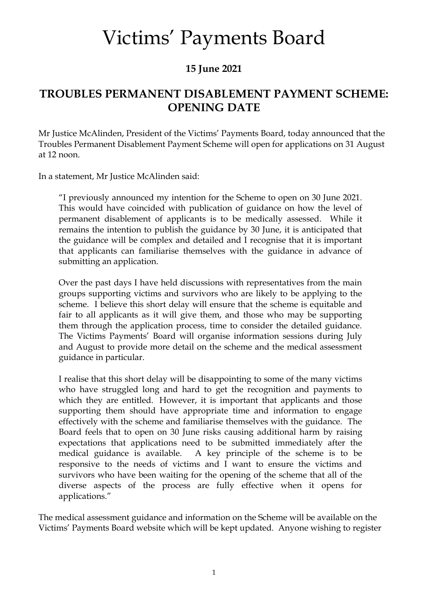## Victims' Payments Board

#### **15 June 2021**

### **TROUBLES PERMANENT DISABLEMENT PAYMENT SCHEME: OPENING DATE**

Mr Justice McAlinden, President of the Victims' Payments Board, today announced that the Troubles Permanent Disablement Payment Scheme will open for applications on 31 August at 12 noon.

In a statement, Mr Justice McAlinden said:

"I previously announced my intention for the Scheme to open on 30 June 2021. This would have coincided with publication of guidance on how the level of permanent disablement of applicants is to be medically assessed. While it remains the intention to publish the guidance by 30 June, it is anticipated that the guidance will be complex and detailed and I recognise that it is important that applicants can familiarise themselves with the guidance in advance of submitting an application.

Over the past days I have held discussions with representatives from the main groups supporting victims and survivors who are likely to be applying to the scheme. I believe this short delay will ensure that the scheme is equitable and fair to all applicants as it will give them, and those who may be supporting them through the application process, time to consider the detailed guidance. The Victims Payments' Board will organise information sessions during July and August to provide more detail on the scheme and the medical assessment guidance in particular.

I realise that this short delay will be disappointing to some of the many victims who have struggled long and hard to get the recognition and payments to which they are entitled. However, it is important that applicants and those supporting them should have appropriate time and information to engage effectively with the scheme and familiarise themselves with the guidance. The Board feels that to open on 30 June risks causing additional harm by raising expectations that applications need to be submitted immediately after the medical guidance is available. A key principle of the scheme is to be responsive to the needs of victims and I want to ensure the victims and survivors who have been waiting for the opening of the scheme that all of the diverse aspects of the process are fully effective when it opens for applications."

The medical assessment guidance and information on the Scheme will be available on the Victims' Payments Board website which will be kept updated. Anyone wishing to register